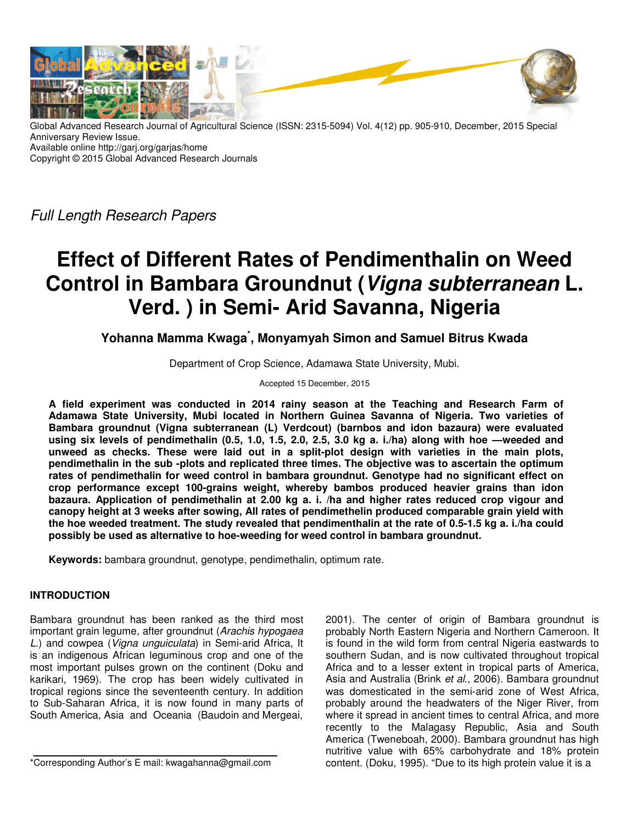

Global Advanced Research Journal of Agricultural Science (ISSN: 2315-5094) Vol. 4(12) pp. 905-910, December, 2015 Special Anniversary Review Issue. Available online http://garj.org/garjas/home Copyright © 2015 Global Advanced Research Journals

Full Length Research Papers

# **Effect of Different Rates of Pendimenthalin on Weed Control in Bambara Groundnut (Vigna subterranean L. Verd. ) in Semi- Arid Savanna, Nigeria**

**Yohanna Mamma Kwaga\* , Monyamyah Simon and Samuel Bitrus Kwada** 

Department of Crop Science, Adamawa State University, Mubi.

Accepted 15 December, 2015

**A field experiment was conducted in 2014 rainy season at the Teaching and Research Farm of Adamawa State University, Mubi located in Northern Guinea Savanna of Nigeria. Two varieties of Bambara groundnut (Vigna subterranean (L) Verdcout) (barnbos and idon bazaura) were evaluated using six levels of pendimethalin (0.5, 1.0, 1.5, 2.0, 2.5, 3.0 kg a. i./ha) along with hoe —weeded and unweed as checks. These were laid out in a split-plot design with varieties in the main plots, pendimethalin in the sub -plots and replicated three times. The objective was to ascertain the optimum rates of pendimethalin for weed control in bambara groundnut. Genotype had no significant effect on crop performance except 100-grains weight, whereby bambos produced heavier grains than idon bazaura. Application of pendimethalin at 2.00 kg a. i. /ha and higher rates reduced crop vigour and canopy height at 3 weeks after sowing, All rates of pendimethelin produced comparable grain yield with the hoe weeded treatment. The study revealed that pendimenthalin at the rate of 0.5-1.5 kg a. i./ha could possibly be used as alternative to hoe-weeding for weed control in bambara groundnut.** 

**Keywords:** bambara groundnut, genotype, pendimethalin, optimum rate.

# **INTRODUCTION**

Bambara groundnut has been ranked as the third most important grain legume, after groundnut (Arachis hypogaea L.) and cowpea (Vigna unguiculata) in Semi-arid Africa, It is an indigenous African leguminous crop and one of the most important pulses grown on the continent (Doku and karikari, 1969). The crop has been widely cultivated in tropical regions since the seventeenth century. In addition to Sub-Saharan Africa, it is now found in many parts of South America, Asia and Oceania (Baudoin and Mergeai,

\*Corresponding Author's E mail: kwagahanna@gmail.com

2001). The center of origin of Bambara groundnut is probably North Eastern Nigeria and Northern Cameroon. It is found in the wild form from central Nigeria eastwards to southern Sudan, and is now cultivated throughout tropical Africa and to a lesser extent in tropical parts of America, Asia and Australia (Brink et al., 2006). Bambara groundnut was domesticated in the semi-arid zone of West Africa, probably around the headwaters of the Niger River, from where it spread in ancient times to central Africa, and more recently to the Malagasy Republic, Asia and South America (Tweneboah, 2000). Bambara groundnut has high nutritive value with 65% carbohydrate and 18% protein content. (Doku, 1995). "Due to its high protein value it is a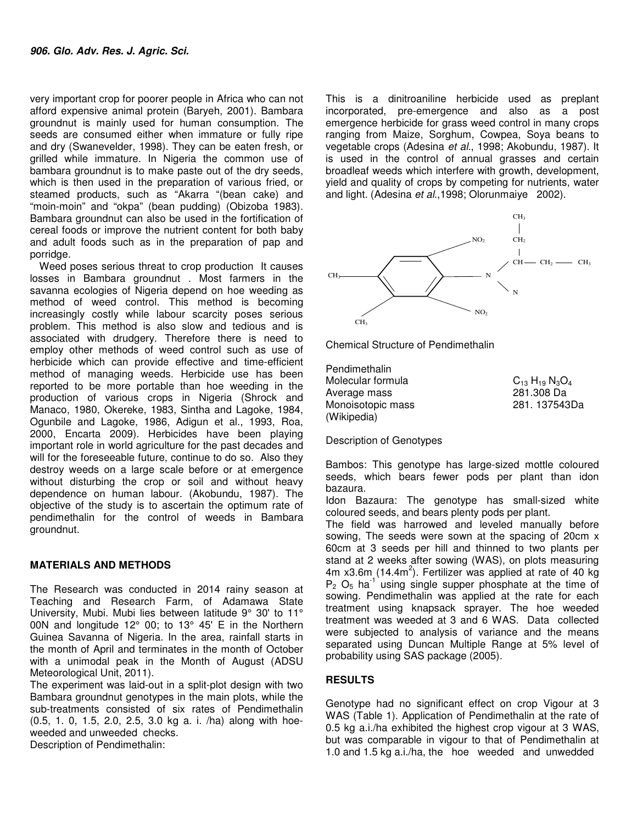very important crop for poorer people in Africa who can not afford expensive animal protein (Baryeh, 2001). Bambara groundnut is mainly used for human consumption. The seeds are consumed either when immature or fully ripe and dry (Swanevelder, 1998). They can be eaten fresh, or grilled while immature. In Nigeria the common use of bambara groundnut is to make paste out of the dry seeds, which is then used in the preparation of various fried, or steamed products, such as "Akarra "(bean cake) and "moin-moin" and "okpa" (bean pudding) (Obizoba 1983). Bambara groundnut can also be used in the fortification of cereal foods or improve the nutrient content for both baby and adult foods such as in the preparation of pap and porridge.

Weed poses serious threat to crop production It causes losses in Bambara groundnut . Most farmers in the savanna ecologies of Nigeria depend on hoe weeding as method of weed control. This method is becoming increasingly costly while labour scarcity poses serious problem. This method is also slow and tedious and is associated with drudgery. Therefore there is need to employ other methods of weed control such as use of herbicide which can provide effective and time-efficient method of managing weeds. Herbicide use has been reported to be more portable than hoe weeding in the production of various crops in Nigeria (Shrock and Manaco, 1980, Okereke, 1983, Sintha and Lagoke, 1984, Ogunbile and Lagoke, 1986, Adigun et al., 1993, Roa, 2000, Encarta 2009). Herbicides have been playing important role in world agriculture for the past decades and will for the foreseeable future, continue to do so. Also they destroy weeds on a large scale before or at emergence without disturbing the crop or soil and without heavy dependence on human labour. (Akobundu, 1987). The objective of the study is to ascertain the optimum rate of pendimethalin for the control of weeds in Bambara groundnut.

# **MATERIALS AND METHODS**

The Research was conducted in 2014 rainy season at Teaching and Research Farm, of Adamawa State University, Mubi. Mubi lies between latitude 9° 30' to 11° 00N and longitude 12° 00; to 13° 45' E in the Northern Guinea Savanna of Nigeria. In the area, rainfall starts in the month of April and terminates in the month of October with a unimodal peak in the Month of August (ADSU Meteorological Unit, 2011).

The experiment was laid-out in a split-plot design with two Bambara groundnut genotypes in the main plots, while the sub-treatments consisted of six rates of Pendimethalin (0.5, 1. 0, 1.5, 2.0, 2.5, 3.0 kg a. i. /ha) along with hoeweeded and unweeded checks.

Description of Pendimethalin:

This is a dinitroaniline herbicide used as preplant incorporated, pre-emergence and also as a post emergence herbicide for grass weed control in many crops ranging from Maize, Sorghum, Cowpea, Soya beans to vegetable crops (Adesina et al., 1998; Akobundu, 1987). It is used in the control of annual grasses and certain broadleaf weeds which interfere with growth, development, yield and quality of crops by competing for nutrients, water and light. (Adesina et al.,1998; Olorunmaiye 2002).



Chemical Structure of Pendimethalin

Pendimethalin Molecular formula  $C_{13} H_{19} N_3 O_4$ Average mass 281.308 Da Monoisotopic mass (Wikipedia)

Description of Genotypes

Bambos: This genotype has large-sized mottle coloured seeds, which bears fewer pods per plant than idon bazaura.

Idon Bazaura: The genotype has small-sized white coloured seeds, and bears plenty pods per plant.

The field was harrowed and leveled manually before sowing, The seeds were sown at the spacing of 20cm x 60cm at 3 seeds per hill and thinned to two plants per stand at 2 weeks after sowing (WAS), on plots measuring  $4m \times 3.6m$  (14.4 $m^2$ ). Fertilizer was applied at rate of 40 kg  $P_2$  O<sub>5</sub> ha<sup>-1</sup> using single supper phosphate at the time of sowing. Pendimethalin was applied at the rate for each treatment using knapsack sprayer. The hoe weeded treatment was weeded at 3 and 6 WAS. Data collected were subjected to analysis of variance and the means separated using Duncan Multiple Range at 5% level of probability using SAS package (2005).

# **RESULTS**

Genotype had no significant effect on crop Vigour at 3 WAS (Table 1). Application of Pendimethalin at the rate of 0.5 kg a.i./ha exhibited the highest crop vigour at 3 WAS, but was comparable in vigour to that of Pendimethalin at 1.0 and 1.5 kg a.i./ha, the hoe weeded and unwedded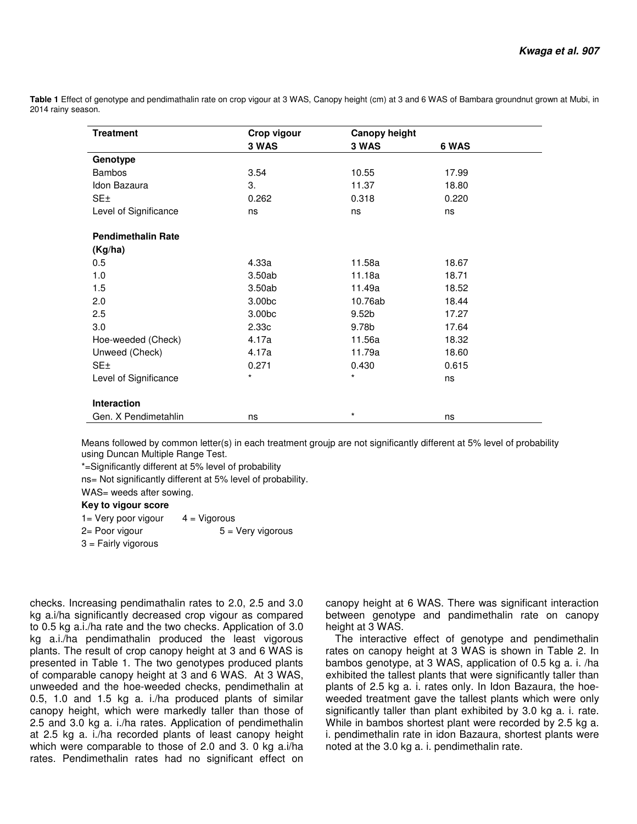**Table 1** Effect of genotype and pendimathalin rate on crop vigour at 3 WAS, Canopy height (cm) at 3 and 6 WAS of Bambara groundnut grown at Mubi, in 2014 rainy season.

| <b>Treatment</b>          | Crop vigour | <b>Canopy height</b> |       |  |
|---------------------------|-------------|----------------------|-------|--|
|                           | 3 WAS       | 3 WAS                | 6 WAS |  |
| Genotype                  |             |                      |       |  |
| <b>Bambos</b>             | 3.54        | 10.55                | 17.99 |  |
| Idon Bazaura              | 3.          | 11.37                | 18.80 |  |
| SE±                       | 0.262       | 0.318                | 0.220 |  |
| Level of Significance     | ns          | ns                   | ns    |  |
| <b>Pendimethalin Rate</b> |             |                      |       |  |
| (Kg/ha)                   |             |                      |       |  |
| 0.5                       | 4.33a       | 11.58a               | 18.67 |  |
| 1.0                       | 3.50ab      | 11.18a               | 18.71 |  |
| 1.5                       | 3.50ab      | 11.49a               | 18.52 |  |
| 2.0                       | 3.00bc      | 10.76ab              | 18.44 |  |
| 2.5                       | 3.00bc      | 9.52 <sub>b</sub>    | 17.27 |  |
| 3.0                       | 2.33c       | 9.78b                | 17.64 |  |
| Hoe-weeded (Check)        | 4.17a       | 11.56a               | 18.32 |  |
| Unweed (Check)            | 4.17a       | 11.79a               | 18.60 |  |
| SE±                       | 0.271       | 0.430                | 0.615 |  |
| Level of Significance     | $\star$     | *                    | ns    |  |
| Interaction               |             |                      |       |  |
| Gen. X Pendimetahlin      | ns          | $\star$              | ns    |  |

Means followed by common letter(s) in each treatment groujp are not significantly different at 5% level of probability using Duncan Multiple Range Test.

\*=Significantly different at 5% level of probability

ns= Not significantly different at 5% level of probability.

WAS= weeds after sowing.

#### **Key to vigour score**

| 1 = Very poor vigour  | $4 = Vigorous$             |
|-----------------------|----------------------------|
| 2= Poor vigour        | $5 = \text{Very vigorous}$ |
| $3$ = Fairly vigorous |                            |

checks. Increasing pendimathalin rates to 2.0, 2.5 and 3.0 kg a.i/ha significantly decreased crop vigour as compared to 0.5 kg a.i./ha rate and the two checks. Application of 3.0 kg a.i./ha pendimathalin produced the least vigorous plants. The result of crop canopy height at 3 and 6 WAS is presented in Table 1. The two genotypes produced plants of comparable canopy height at 3 and 6 WAS. At 3 WAS, unweeded and the hoe-weeded checks, pendimethalin at 0.5, 1.0 and 1.5 kg a. i./ha produced plants of similar canopy height, which were markedly taller than those of 2.5 and 3.0 kg a. i./ha rates. Application of pendimethalin at 2.5 kg a. i./ha recorded plants of least canopy height which were comparable to those of 2.0 and 3. 0 kg a.i/ha rates. Pendimethalin rates had no significant effect on

canopy height at 6 WAS. There was significant interaction between genotype and pandimethalin rate on canopy height at 3 WAS.

The interactive effect of genotype and pendimethalin rates on canopy height at 3 WAS is shown in Table 2. In bambos genotype, at 3 WAS, application of 0.5 kg a. i. /ha exhibited the tallest plants that were significantly taller than plants of 2.5 kg a. i. rates only. In Idon Bazaura, the hoeweeded treatment gave the tallest plants which were only significantly taller than plant exhibited by 3.0 kg a. i. rate. While in bambos shortest plant were recorded by 2.5 kg a. i. pendimethalin rate in idon Bazaura, shortest plants were noted at the 3.0 kg a. i. pendimethalin rate.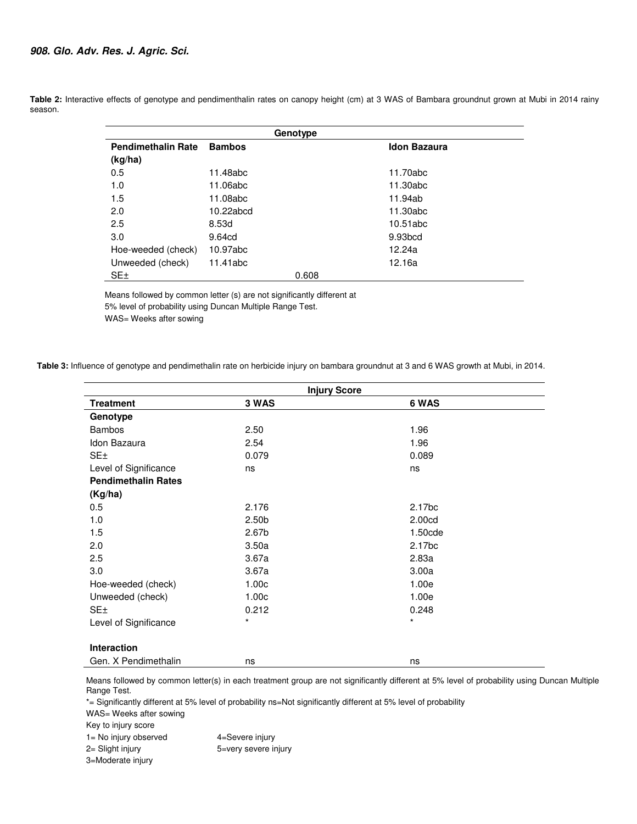|                           |               | Genotype |                     |  |
|---------------------------|---------------|----------|---------------------|--|
| <b>Pendimethalin Rate</b> | <b>Bambos</b> |          | <b>Idon Bazaura</b> |  |
| (kg/ha)                   |               |          |                     |  |
| 0.5                       | 11.48abc      |          | 11.70abc            |  |
| 1.0                       | 11.06abc      |          | 11.30abc            |  |
| 1.5                       | 11.08abc      |          | 11.94ab             |  |
| 2.0                       | 10.22abcd     |          | 11.30abc            |  |
| 2.5                       | 8.53d         |          | 10.51abc            |  |
| 3.0                       | 9.64cd        |          | 9.93 <sub>bcd</sub> |  |
| Hoe-weeded (check)        | 10.97abc      |          | 12.24a              |  |
| Unweeded (check)          | 11.41abc      |          | 12.16a              |  |
| SE±                       |               | 0.608    |                     |  |

Table 2: Interactive effects of genotype and pendimenthalin rates on canopy height (cm) at 3 WAS of Bambara groundnut grown at Mubi in 2014 rainy season.

> Means followed by common letter (s) are not significantly different at 5% level of probability using Duncan Multiple Range Test.

WAS= Weeks after sowing

 **Table 3:** Influence of genotype and pendimethalin rate on herbicide injury on bambara groundnut at 3 and 6 WAS growth at Mubi, in 2014.

|                            | <b>Injury Score</b> |                    |
|----------------------------|---------------------|--------------------|
| <b>Treatment</b>           | 3 WAS               | 6 WAS              |
| Genotype                   |                     |                    |
| <b>Bambos</b>              | 2.50                | 1.96               |
| Idon Bazaura               | 2.54                | 1.96               |
| SE±                        | 0.079               | 0.089              |
| Level of Significance      | ns                  | ns                 |
| <b>Pendimethalin Rates</b> |                     |                    |
| (Kg/ha)                    |                     |                    |
| 0.5                        | 2.176               | 2.17 <sub>bc</sub> |
| 1.0                        | 2.50 <sub>b</sub>   | 2.00cd             |
| 1.5                        | 2.67 <sub>b</sub>   | 1.50cde            |
| 2.0                        | 3.50a               | 2.17bc             |
| 2.5                        | 3.67a               | 2.83a              |
| 3.0                        | 3.67a               | 3.00a              |
| Hoe-weeded (check)         | 1.00c               | 1.00e              |
| Unweeded (check)           | 1.00c               | 1.00e              |
| SE <sub>±</sub>            | 0.212               | 0.248              |
| Level of Significance      | $^\star$            | $\star$            |
|                            |                     |                    |
| Interaction                |                     |                    |
| Gen. X Pendimethalin       | ns                  | ns                 |

Means followed by common letter(s) in each treatment group are not significantly different at 5% level of probability using Duncan Multiple Range Test.

\*= Significantly different at 5% level of probability ns=Not significantly different at 5% level of probability

WAS= Weeks after sowing

Key to injury score

1= No injury observed 4=Severe injury 2= Slight injury 5=very severe injury

3=Moderate injury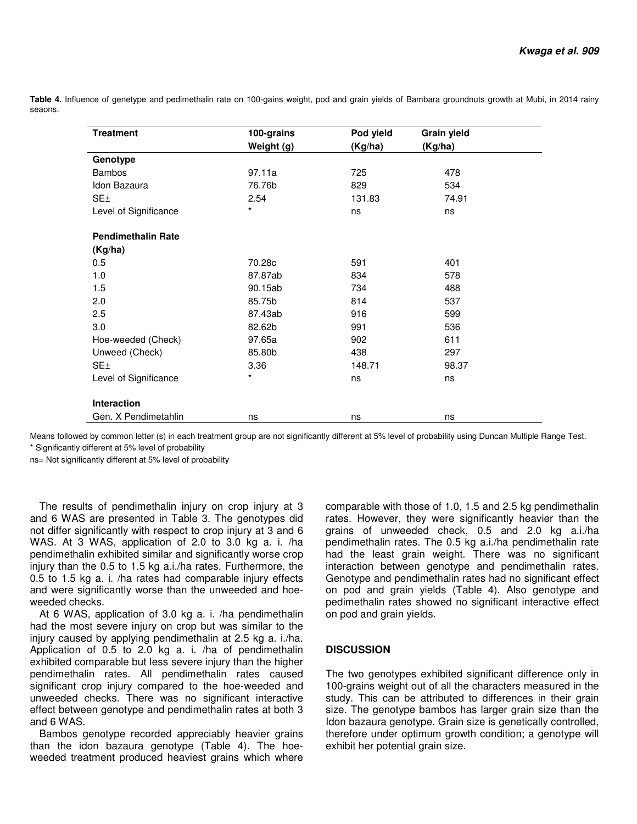**Table 4.** Influence of genetype and pedimethalin rate on 100-gains weight, pod and grain yields of Bambara groundnuts growth at Mubi, in 2014 rainy seaons.

| <b>Treatment</b>          | 100-grains | Pod yield | <b>Grain yield</b> |  |
|---------------------------|------------|-----------|--------------------|--|
|                           | Weight (g) | (Kg/ha)   | (Kg/ha)            |  |
| Genotype                  |            |           |                    |  |
| <b>Bambos</b>             | 97.11a     | 725       | 478                |  |
| Idon Bazaura              | 76.76b     | 829       | 534                |  |
| SE <sub>±</sub>           | 2.54       | 131.83    | 74.91              |  |
| Level of Significance     | $\star$    | ns        | ns                 |  |
| <b>Pendimethalin Rate</b> |            |           |                    |  |
| (Kg/ha)                   |            |           |                    |  |
| 0.5                       | 70.28c     | 591       | 401                |  |
| 1.0                       | 87.87ab    | 834       | 578                |  |
| 1.5                       | 90.15ab    | 734       | 488                |  |
| 2.0                       | 85.75b     | 814       | 537                |  |
| 2.5                       | 87.43ab    | 916       | 599                |  |
| 3.0                       | 82.62b     | 991       | 536                |  |
| Hoe-weeded (Check)        | 97.65a     | 902       | 611                |  |
| Unweed (Check)            | 85.80b     | 438       | 297                |  |
| SE <sub>±</sub>           | 3.36       | 148.71    | 98.37              |  |
| Level of Significance     | $\star$    | ns        | ns                 |  |
| Interaction               |            |           |                    |  |
| Gen. X Pendimetahlin      | ns         | ns        | ns                 |  |

Means followed by common letter (s) in each treatment group are not significantly different at 5% level of probability using Duncan Multiple Range Test. \* Significantly different at 5% level of probability

ns= Not significantly different at 5% level of probability

The results of pendimethalin injury on crop injury at 3 and 6 WAS are presented in Table 3. The genotypes did not differ significantly with respect to crop injury at 3 and 6 WAS. At 3 WAS, application of 2.0 to 3.0 kg a. i. /ha pendimethalin exhibited similar and significantly worse crop injury than the 0.5 to 1.5 kg a.i./ha rates. Furthermore, the 0.5 to 1.5 kg a. i. /ha rates had comparable injury effects and were significantly worse than the unweeded and hoeweeded checks.

At 6 WAS, application of 3.0 kg a. i. /ha pendimethalin had the most severe injury on crop but was similar to the injury caused by applying pendimethalin at 2.5 kg a. i./ha. Application of 0.5 to 2.0 kg a. i. /ha of pendimethalin exhibited comparable but less severe injury than the higher pendimethalin rates. All pendimethalin rates caused significant crop injury compared to the hoe-weeded and unweeded checks. There was no significant interactive effect between genotype and pendimethalin rates at both 3 and 6 WAS.

Bambos genotype recorded appreciably heavier grains than the idon bazaura genotype (Table 4). The hoeweeded treatment produced heaviest grains which where comparable with those of 1.0, 1.5 and 2.5 kg pendimethalin rates. However, they were significantly heavier than the grains of unweeded check, 0.5 and 2.0 kg a.i./ha pendimethalin rates. The 0.5 kg a.i./ha pendimethalin rate had the least grain weight. There was no significant interaction between genotype and pendimethalin rates. Genotype and pendimethalin rates had no significant effect on pod and grain yields (Table 4). Also genotype and pedimethalin rates showed no significant interactive effect on pod and grain yields.

# **DISCUSSION**

The two genotypes exhibited significant difference only in 100-grains weight out of all the characters measured in the study. This can be attributed to differences in their grain size. The genotype bambos has larger grain size than the Idon bazaura genotype. Grain size is genetically controlled, therefore under optimum growth condition; a genotype will exhibit her potential grain size.